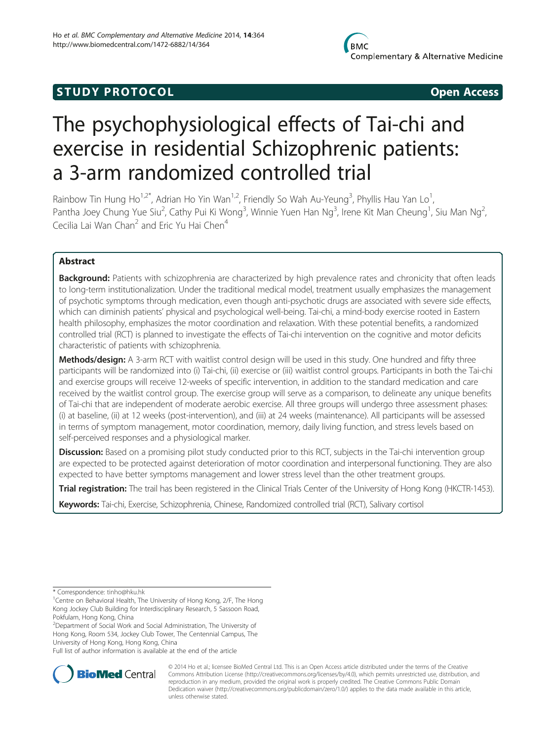# **STUDY PROTOCOL CONSUMING THE CONSUMING OPEN ACCESS**

# The psychophysiological effects of Tai-chi and exercise in residential Schizophrenic patients: a 3-arm randomized controlled trial

Rainbow Tin Hung Ho<sup>1,2\*</sup>, Adrian Ho Yin Wan<sup>1,2</sup>, Friendly So Wah Au-Yeung<sup>3</sup>, Phyllis Hau Yan Lo<sup>1</sup> , Pantha Joey Chung Yue Siu<sup>2</sup>, Cathy Pui Ki Wong<sup>3</sup>, Winnie Yuen Han Ng<sup>3</sup>, Irene Kit Man Cheung<sup>1</sup>, Siu Man Ng<sup>2</sup> , Cecilia Lai Wan Chan<sup>2</sup> and Eric Yu Hai Chen<sup>4</sup>

# Abstract

Background: Patients with schizophrenia are characterized by high prevalence rates and chronicity that often leads to long-term institutionalization. Under the traditional medical model, treatment usually emphasizes the management of psychotic symptoms through medication, even though anti-psychotic drugs are associated with severe side effects, which can diminish patients' physical and psychological well-being. Tai-chi, a mind-body exercise rooted in Eastern health philosophy, emphasizes the motor coordination and relaxation. With these potential benefits, a randomized controlled trial (RCT) is planned to investigate the effects of Tai-chi intervention on the cognitive and motor deficits characteristic of patients with schizophrenia.

Methods/design: A 3-arm RCT with waitlist control design will be used in this study. One hundred and fifty three participants will be randomized into (i) Tai-chi, (ii) exercise or (iii) waitlist control groups. Participants in both the Tai-chi and exercise groups will receive 12-weeks of specific intervention, in addition to the standard medication and care received by the waitlist control group. The exercise group will serve as a comparison, to delineate any unique benefits of Tai-chi that are independent of moderate aerobic exercise. All three groups will undergo three assessment phases: (i) at baseline, (ii) at 12 weeks (post-intervention), and (iii) at 24 weeks (maintenance). All participants will be assessed in terms of symptom management, motor coordination, memory, daily living function, and stress levels based on self-perceived responses and a physiological marker.

Discussion: Based on a promising pilot study conducted prior to this RCT, subjects in the Tai-chi intervention group are expected to be protected against deterioration of motor coordination and interpersonal functioning. They are also expected to have better symptoms management and lower stress level than the other treatment groups.

Trial registration: The trail has been registered in the Clinical Trials Center of the University of Hong Kong ([HKCTR-1453](http://www.hkclinicaltrials.com/)).

Keywords: Tai-chi, Exercise, Schizophrenia, Chinese, Randomized controlled trial (RCT), Salivary cortisol

<sup>2</sup> Department of Social Work and Social Administration, The University of Hong Kong, Room 534, Jockey Club Tower, The Centennial Campus, The University of Hong Kong, Hong Kong, China

Full list of author information is available at the end of the article



<sup>© 2014</sup> Ho et al.; licensee BioMed Central Ltd. This is an Open Access article distributed under the terms of the Creative Commons Attribution License [\(http://creativecommons.org/licenses/by/4.0\)](http://creativecommons.org/licenses/by/4.0), which permits unrestricted use, distribution, and reproduction in any medium, provided the original work is properly credited. The Creative Commons Public Domain Dedication waiver [\(http://creativecommons.org/publicdomain/zero/1.0/](http://creativecommons.org/publicdomain/zero/1.0/)) applies to the data made available in this article, unless otherwise stated.

<sup>\*</sup> Correspondence: [tinho@hku.hk](mailto:tinho@hku.hk) <sup>1</sup>

<sup>&</sup>lt;sup>1</sup> Centre on Behavioral Health, The University of Hong Kong, 2/F, The Hong Kong Jockey Club Building for Interdisciplinary Research, 5 Sassoon Road, Pokfulam, Hong Kong, China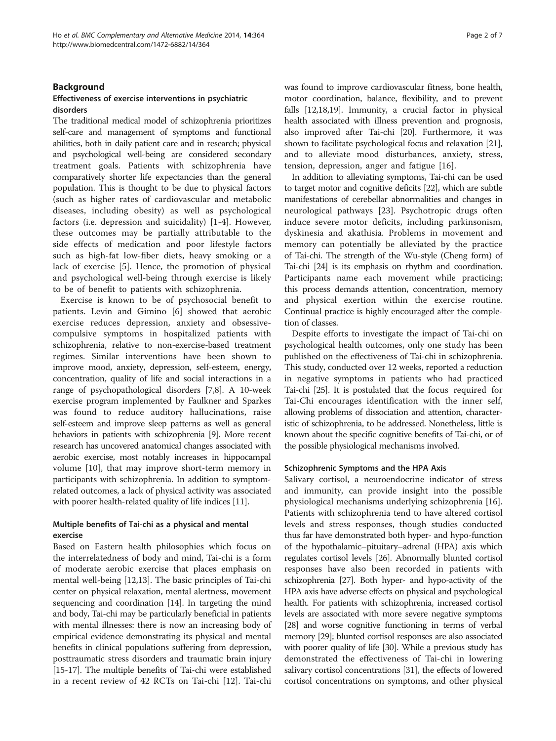# Background

# Effectiveness of exercise interventions in psychiatric disorders

The traditional medical model of schizophrenia prioritizes self-care and management of symptoms and functional abilities, both in daily patient care and in research; physical and psychological well-being are considered secondary treatment goals. Patients with schizophrenia have comparatively shorter life expectancies than the general population. This is thought to be due to physical factors (such as higher rates of cardiovascular and metabolic diseases, including obesity) as well as psychological factors (i.e. depression and suicidality) [[1-4](#page-6-0)]. However, these outcomes may be partially attributable to the side effects of medication and poor lifestyle factors such as high-fat low-fiber diets, heavy smoking or a lack of exercise [[5\]](#page-6-0). Hence, the promotion of physical and psychological well-being through exercise is likely to be of benefit to patients with schizophrenia.

Exercise is known to be of psychosocial benefit to patients. Levin and Gimino [[6\]](#page-6-0) showed that aerobic exercise reduces depression, anxiety and obsessivecompulsive symptoms in hospitalized patients with schizophrenia, relative to non-exercise-based treatment regimes. Similar interventions have been shown to improve mood, anxiety, depression, self-esteem, energy, concentration, quality of life and social interactions in a range of psychopathological disorders [\[7,8\]](#page-6-0). A 10-week exercise program implemented by Faulkner and Sparkes was found to reduce auditory hallucinations, raise self-esteem and improve sleep patterns as well as general behaviors in patients with schizophrenia [[9](#page-6-0)]. More recent research has uncovered anatomical changes associated with aerobic exercise, most notably increases in hippocampal volume [[10\]](#page-6-0), that may improve short-term memory in participants with schizophrenia. In addition to symptomrelated outcomes, a lack of physical activity was associated with poorer health-related quality of life indices [\[11\]](#page-6-0).

# Multiple benefits of Tai-chi as a physical and mental exercise

Based on Eastern health philosophies which focus on the interrelatedness of body and mind, Tai-chi is a form of moderate aerobic exercise that places emphasis on mental well-being [[12,13\]](#page-6-0). The basic principles of Tai-chi center on physical relaxation, mental alertness, movement sequencing and coordination [\[14\]](#page-6-0). In targeting the mind and body, Tai-chi may be particularly beneficial in patients with mental illnesses: there is now an increasing body of empirical evidence demonstrating its physical and mental benefits in clinical populations suffering from depression, posttraumatic stress disorders and traumatic brain injury [[15](#page-6-0)-[17\]](#page-6-0). The multiple benefits of Tai-chi were established in a recent review of 42 RCTs on Tai-chi [\[12](#page-6-0)]. Tai-chi was found to improve cardiovascular fitness, bone health, motor coordination, balance, flexibility, and to prevent falls [\[12,18,19](#page-6-0)]. Immunity, a crucial factor in physical health associated with illness prevention and prognosis, also improved after Tai-chi [[20](#page-6-0)]. Furthermore, it was shown to facilitate psychological focus and relaxation [[21](#page-6-0)], and to alleviate mood disturbances, anxiety, stress, tension, depression, anger and fatigue [\[16](#page-6-0)].

In addition to alleviating symptoms, Tai-chi can be used to target motor and cognitive deficits [[22](#page-6-0)], which are subtle manifestations of cerebellar abnormalities and changes in neurological pathways [\[23\]](#page-6-0). Psychotropic drugs often induce severe motor deficits, including parkinsonism, dyskinesia and akathisia. Problems in movement and memory can potentially be alleviated by the practice of Tai-chi. The strength of the Wu-style (Cheng form) of Tai-chi [\[24\]](#page-6-0) is its emphasis on rhythm and coordination. Participants name each movement while practicing; this process demands attention, concentration, memory and physical exertion within the exercise routine. Continual practice is highly encouraged after the completion of classes.

Despite efforts to investigate the impact of Tai-chi on psychological health outcomes, only one study has been published on the effectiveness of Tai-chi in schizophrenia. This study, conducted over 12 weeks, reported a reduction in negative symptoms in patients who had practiced Tai-chi [\[25](#page-6-0)]. It is postulated that the focus required for Tai-Chi encourages identification with the inner self, allowing problems of dissociation and attention, characteristic of schizophrenia, to be addressed. Nonetheless, little is known about the specific cognitive benefits of Tai-chi, or of the possible physiological mechanisms involved.

#### Schizophrenic Symptoms and the HPA Axis

Salivary cortisol, a neuroendocrine indicator of stress and immunity, can provide insight into the possible physiological mechanisms underlying schizophrenia [\[16](#page-6-0)]. Patients with schizophrenia tend to have altered cortisol levels and stress responses, though studies conducted thus far have demonstrated both hyper- and hypo-function of the hypothalamic–pituitary–adrenal (HPA) axis which regulates cortisol levels [[26\]](#page-6-0). Abnormally blunted cortisol responses have also been recorded in patients with schizophrenia [[27\]](#page-6-0). Both hyper- and hypo-activity of the HPA axis have adverse effects on physical and psychological health. For patients with schizophrenia, increased cortisol levels are associated with more severe negative symptoms [[28](#page-6-0)] and worse cognitive functioning in terms of verbal memory [\[29\]](#page-6-0); blunted cortisol responses are also associated with poorer quality of life [[30](#page-6-0)]. While a previous study has demonstrated the effectiveness of Tai-chi in lowering salivary cortisol concentrations [[31](#page-6-0)], the effects of lowered cortisol concentrations on symptoms, and other physical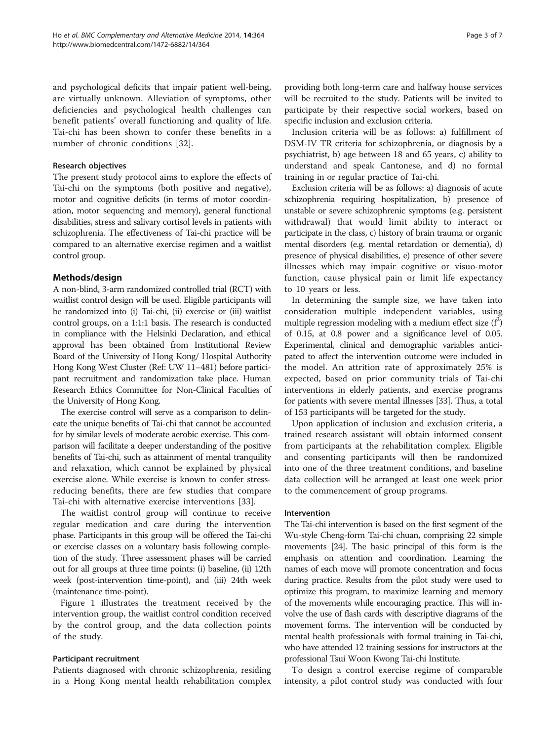and psychological deficits that impair patient well-being, are virtually unknown. Alleviation of symptoms, other deficiencies and psychological health challenges can benefit patients' overall functioning and quality of life. Tai-chi has been shown to confer these benefits in a number of chronic conditions [[32\]](#page-6-0).

#### Research objectives

The present study protocol aims to explore the effects of Tai-chi on the symptoms (both positive and negative), motor and cognitive deficits (in terms of motor coordination, motor sequencing and memory), general functional disabilities, stress and salivary cortisol levels in patients with schizophrenia. The effectiveness of Tai-chi practice will be compared to an alternative exercise regimen and a waitlist control group.

# Methods/design

A non-blind, 3-arm randomized controlled trial (RCT) with waitlist control design will be used. Eligible participants will be randomized into (i) Tai-chi, (ii) exercise or (iii) waitlist control groups, on a 1:1:1 basis. The research is conducted in compliance with the Helsinki Declaration, and ethical approval has been obtained from Institutional Review Board of the University of Hong Kong/ Hospital Authority Hong Kong West Cluster (Ref: UW 11–481) before participant recruitment and randomization take place. Human Research Ethics Committee for Non-Clinical Faculties of the University of Hong Kong.

The exercise control will serve as a comparison to delineate the unique benefits of Tai-chi that cannot be accounted for by similar levels of moderate aerobic exercise. This comparison will facilitate a deeper understanding of the positive benefits of Tai-chi, such as attainment of mental tranquility and relaxation, which cannot be explained by physical exercise alone. While exercise is known to confer stressreducing benefits, there are few studies that compare Tai-chi with alternative exercise interventions [[33\]](#page-6-0).

The waitlist control group will continue to receive regular medication and care during the intervention phase. Participants in this group will be offered the Tai-chi or exercise classes on a voluntary basis following completion of the study. Three assessment phases will be carried out for all groups at three time points: (i) baseline, (ii) 12th week (post-intervention time-point), and (iii) 24th week (maintenance time-point).

Figure [1](#page-3-0) illustrates the treatment received by the intervention group, the waitlist control condition received by the control group, and the data collection points of the study.

#### Participant recruitment

Patients diagnosed with chronic schizophrenia, residing in a Hong Kong mental health rehabilitation complex providing both long-term care and halfway house services will be recruited to the study. Patients will be invited to participate by their respective social workers, based on specific inclusion and exclusion criteria.

Inclusion criteria will be as follows: a) fulfillment of DSM-IV TR criteria for schizophrenia, or diagnosis by a psychiatrist, b) age between 18 and 65 years, c) ability to understand and speak Cantonese, and d) no formal training in or regular practice of Tai-chi.

Exclusion criteria will be as follows: a) diagnosis of acute schizophrenia requiring hospitalization, b) presence of unstable or severe schizophrenic symptoms (e.g. persistent withdrawal) that would limit ability to interact or participate in the class, c) history of brain trauma or organic mental disorders (e.g. mental retardation or dementia), d) presence of physical disabilities, e) presence of other severe illnesses which may impair cognitive or visuo-motor function, cause physical pain or limit life expectancy to 10 years or less.

In determining the sample size, we have taken into consideration multiple independent variables, using multiple regression modeling with a medium effect size  $(f^2)$ of 0.15, at 0.8 power and a significance level of 0.05. Experimental, clinical and demographic variables anticipated to affect the intervention outcome were included in the model. An attrition rate of approximately 25% is expected, based on prior community trials of Tai-chi interventions in elderly patients, and exercise programs for patients with severe mental illnesses [\[33\]](#page-6-0). Thus, a total of 153 participants will be targeted for the study.

Upon application of inclusion and exclusion criteria, a trained research assistant will obtain informed consent from participants at the rehabilitation complex. Eligible and consenting participants will then be randomized into one of the three treatment conditions, and baseline data collection will be arranged at least one week prior to the commencement of group programs.

### Intervention

The Tai-chi intervention is based on the first segment of the Wu-style Cheng-form Tai-chi chuan, comprising 22 simple movements [[24](#page-6-0)]. The basic principal of this form is the emphasis on attention and coordination. Learning the names of each move will promote concentration and focus during practice. Results from the pilot study were used to optimize this program, to maximize learning and memory of the movements while encouraging practice. This will involve the use of flash cards with descriptive diagrams of the movement forms. The intervention will be conducted by mental health professionals with formal training in Tai-chi, who have attended 12 training sessions for instructors at the professional Tsui Woon Kwong Tai-chi Institute.

To design a control exercise regime of comparable intensity, a pilot control study was conducted with four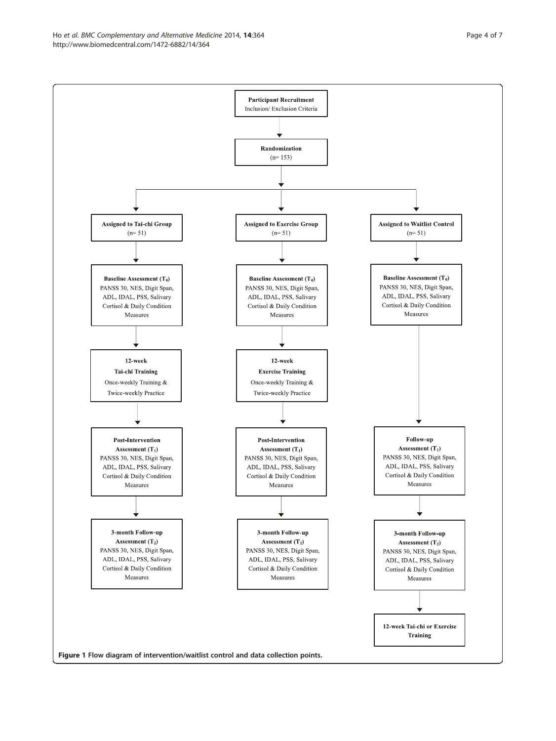<span id="page-3-0"></span>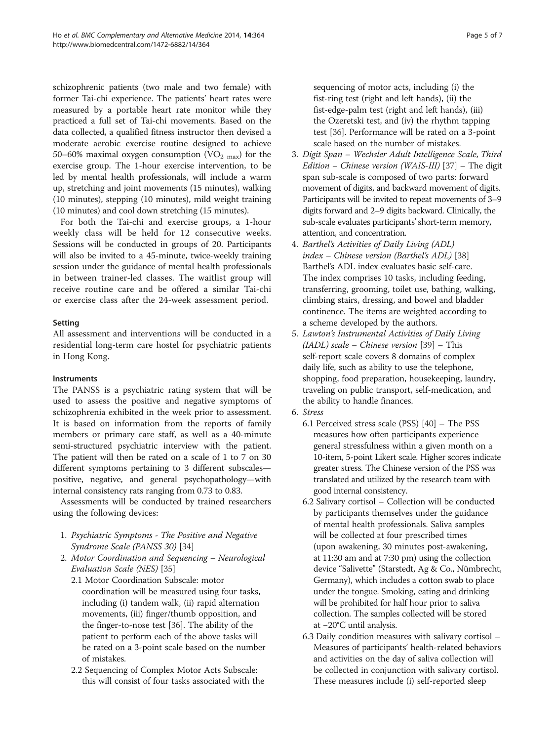schizophrenic patients (two male and two female) with former Tai-chi experience. The patients' heart rates were measured by a portable heart rate monitor while they practiced a full set of Tai-chi movements. Based on the data collected, a qualified fitness instructor then devised a moderate aerobic exercise routine designed to achieve 50–60% maximal oxygen consumption  $(VO<sub>2 max</sub>)$  for the exercise group. The 1-hour exercise intervention, to be led by mental health professionals, will include a warm up, stretching and joint movements (15 minutes), walking (10 minutes), stepping (10 minutes), mild weight training (10 minutes) and cool down stretching (15 minutes).

For both the Tai-chi and exercise groups, a 1-hour weekly class will be held for 12 consecutive weeks. Sessions will be conducted in groups of 20. Participants will also be invited to a 45-minute, twice-weekly training session under the guidance of mental health professionals in between trainer-led classes. The waitlist group will receive routine care and be offered a similar Tai-chi or exercise class after the 24-week assessment period.

# Setting

All assessment and interventions will be conducted in a residential long-term care hostel for psychiatric patients in Hong Kong.

# Instruments

The PANSS is a psychiatric rating system that will be used to assess the positive and negative symptoms of schizophrenia exhibited in the week prior to assessment. It is based on information from the reports of family members or primary care staff, as well as a 40-minute semi-structured psychiatric interview with the patient. The patient will then be rated on a scale of 1 to 7 on 30 different symptoms pertaining to 3 different subscales positive, negative, and general psychopathology—with internal consistency rats ranging from 0.73 to 0.83.

Assessments will be conducted by trained researchers using the following devices:

- 1. Psychiatric Symptoms The Positive and Negative Syndrome Scale (PANSS 30) [\[34\]](#page-6-0)
- 2. Motor Coordination and Sequencing Neurological Evaluation Scale (NES) [\[35\]](#page-6-0)
	- 2.1 Motor Coordination Subscale: motor coordination will be measured using four tasks, including (i) tandem walk, (ii) rapid alternation movements, (iii) finger/thumb opposition, and the finger-to-nose test [[36](#page-6-0)]. The ability of the patient to perform each of the above tasks will be rated on a 3-point scale based on the number of mistakes.
	- 2.2 Sequencing of Complex Motor Acts Subscale: this will consist of four tasks associated with the

sequencing of motor acts, including (i) the fist-ring test (right and left hands), (ii) the fist-edge-palm test (right and left hands), (iii) the Ozeretski test, and (iv) the rhythm tapping test [\[36](#page-6-0)]. Performance will be rated on a 3-point scale based on the number of mistakes.

- 3. Digit Span Wechsler Adult Intelligence Scale, Third Edition – Chinese version (WAIS-III) [\[37\]](#page-6-0) – The digit span sub-scale is composed of two parts: forward movement of digits, and backward movement of digits. Participants will be invited to repeat movements of 3–9 digits forward and 2–9 digits backward. Clinically, the sub-scale evaluates participants' short-term memory, attention, and concentration.
- 4. Barthel's Activities of Daily Living (ADL) index – Chinese version (Barthel's ADL) [\[38\]](#page-6-0) Barthel's ADL index evaluates basic self-care. The index comprises 10 tasks, including feeding, transferring, grooming, toilet use, bathing, walking, climbing stairs, dressing, and bowel and bladder continence. The items are weighted according to a scheme developed by the authors.
- 5. Lawton's Instrumental Activities of Daily Living  $(IADL) scale - Chinese version [39] - This$  $(IADL) scale - Chinese version [39] - This$  $(IADL) scale - Chinese version [39] - This$ self-report scale covers 8 domains of complex daily life, such as ability to use the telephone, shopping, food preparation, housekeeping, laundry, traveling on public transport, self-medication, and the ability to handle finances.
- 6. Stress
	- 6.1 Perceived stress scale (PSS) [[40\]](#page-6-0) The PSS measures how often participants experience general stressfulness within a given month on a 10-item, 5-point Likert scale. Higher scores indicate greater stress. The Chinese version of the PSS was translated and utilized by the research team with good internal consistency.
	- 6.2 Salivary cortisol Collection will be conducted by participants themselves under the guidance of mental health professionals. Saliva samples will be collected at four prescribed times (upon awakening, 30 minutes post-awakening, at 11:30 am and at 7:30 pm) using the collection device "Salivette" (Starstedt, Ag & Co., Nümbrecht, Germany), which includes a cotton swab to place under the tongue. Smoking, eating and drinking will be prohibited for half hour prior to saliva collection. The samples collected will be stored at −20°C until analysis.
	- 6.3 Daily condition measures with salivary cortisol Measures of participants' health-related behaviors and activities on the day of saliva collection will be collected in conjunction with salivary cortisol. These measures include (i) self-reported sleep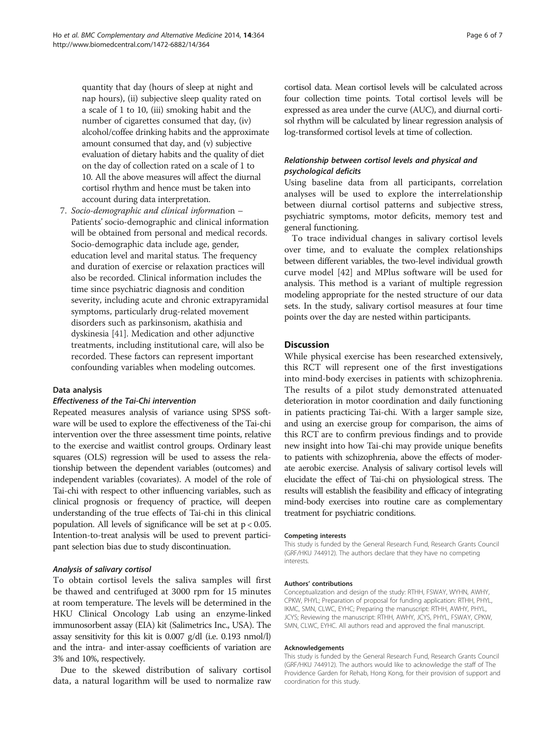quantity that day (hours of sleep at night and nap hours), (ii) subjective sleep quality rated on a scale of 1 to 10, (iii) smoking habit and the number of cigarettes consumed that day, (iv) alcohol/coffee drinking habits and the approximate amount consumed that day, and (v) subjective evaluation of dietary habits and the quality of diet on the day of collection rated on a scale of 1 to 10. All the above measures will affect the diurnal cortisol rhythm and hence must be taken into account during data interpretation.

7. Socio-demographic and clinical information – Patients' socio-demographic and clinical information will be obtained from personal and medical records. Socio-demographic data include age, gender, education level and marital status. The frequency and duration of exercise or relaxation practices will also be recorded. Clinical information includes the time since psychiatric diagnosis and condition severity, including acute and chronic extrapyramidal symptoms, particularly drug-related movement disorders such as parkinsonism, akathisia and dyskinesia [[41](#page-6-0)]. Medication and other adjunctive treatments, including institutional care, will also be recorded. These factors can represent important confounding variables when modeling outcomes.

# Data analysis

#### Effectiveness of the Tai-Chi intervention

Repeated measures analysis of variance using SPSS software will be used to explore the effectiveness of the Tai-chi intervention over the three assessment time points, relative to the exercise and waitlist control groups. Ordinary least squares (OLS) regression will be used to assess the relationship between the dependent variables (outcomes) and independent variables (covariates). A model of the role of Tai-chi with respect to other influencing variables, such as clinical prognosis or frequency of practice, will deepen understanding of the true effects of Tai-chi in this clinical population. All levels of significance will be set at p < 0.05. Intention-to-treat analysis will be used to prevent participant selection bias due to study discontinuation.

#### Analysis of salivary cortisol

To obtain cortisol levels the saliva samples will first be thawed and centrifuged at 3000 rpm for 15 minutes at room temperature. The levels will be determined in the HKU Clinical Oncology Lab using an enzyme-linked immunosorbent assay (EIA) kit (Salimetrics Inc., USA). The assay sensitivity for this kit is 0.007 g/dl (i.e. 0.193 nmol/l) and the intra- and inter-assay coefficients of variation are 3% and 10%, respectively.

Due to the skewed distribution of salivary cortisol data, a natural logarithm will be used to normalize raw cortisol data. Mean cortisol levels will be calculated across four collection time points. Total cortisol levels will be expressed as area under the curve (AUC), and diurnal cortisol rhythm will be calculated by linear regression analysis of log-transformed cortisol levels at time of collection.

# Relationship between cortisol levels and physical and psychological deficits

Using baseline data from all participants, correlation analyses will be used to explore the interrelationship between diurnal cortisol patterns and subjective stress, psychiatric symptoms, motor deficits, memory test and general functioning.

To trace individual changes in salivary cortisol levels over time, and to evaluate the complex relationships between different variables, the two-level individual growth curve model [[42\]](#page-6-0) and MPlus software will be used for analysis. This method is a variant of multiple regression modeling appropriate for the nested structure of our data sets. In the study, salivary cortisol measures at four time points over the day are nested within participants.

# **Discussion**

While physical exercise has been researched extensively, this RCT will represent one of the first investigations into mind-body exercises in patients with schizophrenia. The results of a pilot study demonstrated attenuated deterioration in motor coordination and daily functioning in patients practicing Tai-chi. With a larger sample size, and using an exercise group for comparison, the aims of this RCT are to confirm previous findings and to provide new insight into how Tai-chi may provide unique benefits to patients with schizophrenia, above the effects of moderate aerobic exercise. Analysis of salivary cortisol levels will elucidate the effect of Tai-chi on physiological stress. The results will establish the feasibility and efficacy of integrating mind-body exercises into routine care as complementary treatment for psychiatric conditions.

#### Competing interests

This study is funded by the General Research Fund, Research Grants Council (GRF/HKU 744912). The authors declare that they have no competing interests.

#### Authors' contributions

Conceptualization and design of the study: RTHH, FSWAY, WYHN, AWHY, CPKW, PHYL; Preparation of proposal for funding application: RTHH, PHYL, IKMC, SMN, CLWC, EYHC; Preparing the manuscript: RTHH, AWHY, PHYL, JCYS; Reviewing the manuscript: RTHH, AWHY, JCYS, PHYL, FSWAY, CPKW, SMN, CLWC, EYHC. All authors read and approved the final manuscript.

#### Acknowledgements

This study is funded by the General Research Fund, Research Grants Council (GRF/HKU 744912). The authors would like to acknowledge the staff of The Providence Garden for Rehab, Hong Kong, for their provision of support and coordination for this study.